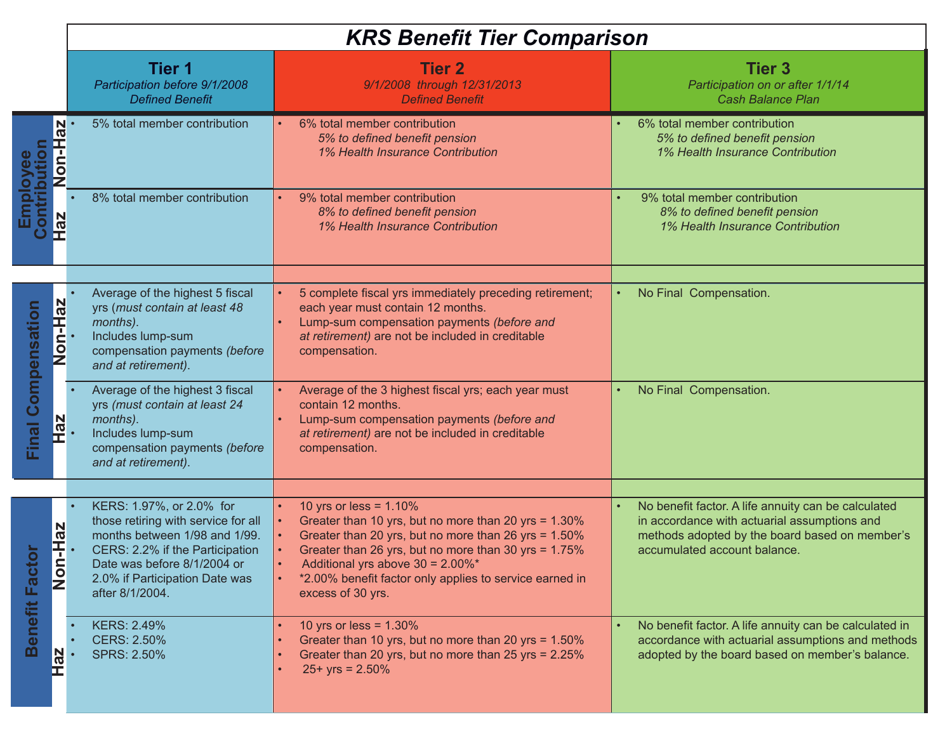| <b>KRS Benefit Tier Comparison</b> |  |  |  |
|------------------------------------|--|--|--|
|------------------------------------|--|--|--|

|                                                             | <b>Tier 1</b><br>Participation before 9/1/2008<br><b>Defined Benefit</b>                                                                                                                                                | <b>Tier 2</b><br>9/1/2008 through 12/31/2013<br><b>Defined Benefit</b>                                                                                                                                                                                                                                                | <b>Tier 3</b><br>Participation on or after 1/1/14<br><b>Cash Balance Plan</b>                                                                                                         |
|-------------------------------------------------------------|-------------------------------------------------------------------------------------------------------------------------------------------------------------------------------------------------------------------------|-----------------------------------------------------------------------------------------------------------------------------------------------------------------------------------------------------------------------------------------------------------------------------------------------------------------------|---------------------------------------------------------------------------------------------------------------------------------------------------------------------------------------|
| tion                                                        | 5% total member contribution<br>Non-Ha                                                                                                                                                                                  | 6% total member contribution<br>5% to defined benefit pension<br>1% Health Insurance Contribution                                                                                                                                                                                                                     | 6% total member contribution<br>5% to defined benefit pension<br>1% Health Insurance Contribution                                                                                     |
| Employee<br><b>ze</b><br>П                                  | 8% total member contribution                                                                                                                                                                                            | 9% total member contribution<br>8% to defined benefit pension<br>1% Health Insurance Contribution                                                                                                                                                                                                                     | 9% total member contribution<br>8% to defined benefit pension<br>1% Health Insurance Contribution                                                                                     |
| Non-Haz<br><b>Final Compensation</b><br><u>Haz</u>          | Average of the highest 5 fiscal<br>yrs (must contain at least 48<br>months).<br>Includes lump-sum<br>compensation payments (before<br>and at retirement).                                                               | 5 complete fiscal yrs immediately preceding retirement;<br>each year must contain 12 months.<br>Lump-sum compensation payments (before and<br>at retirement) are not be included in creditable<br>compensation.                                                                                                       | No Final Compensation.                                                                                                                                                                |
|                                                             | Average of the highest 3 fiscal<br>yrs (must contain at least 24<br>months).<br>Includes lump-sum<br>compensation payments (before<br>and at retirement).                                                               | Average of the 3 highest fiscal yrs; each year must<br>contain 12 months.<br>Lump-sum compensation payments (before and<br>at retirement) are not be included in creditable<br>compensation.                                                                                                                          | No Final Compensation.<br>$\bullet$                                                                                                                                                   |
| <b>Non-Haz</b><br>actor<br>Benefit F<br>$\overline{a}$<br>ᄄ | KERS: 1.97%, or 2.0% for<br>those retiring with service for all<br>months between 1/98 and 1/99.<br>CERS: 2.2% if the Participation<br>Date was before 8/1/2004 or<br>2.0% if Participation Date was<br>after 8/1/2004. | 10 yrs or less = $1.10\%$<br>Greater than 10 yrs, but no more than 20 yrs = 1.30%<br>Greater than 20 yrs, but no more than 26 yrs = 1.50%<br>Greater than 26 yrs, but no more than 30 yrs = 1.75%<br>Additional yrs above 30 = 2.00%*<br>*2.00% benefit factor only applies to service earned in<br>excess of 30 yrs. | No benefit factor. A life annuity can be calculated<br>in accordance with actuarial assumptions and<br>methods adopted by the board based on member's<br>accumulated account balance. |
|                                                             | <b>KERS: 2.49%</b><br><b>CERS: 2.50%</b><br><b>SPRS: 2.50%</b>                                                                                                                                                          | 10 yrs or less = $1.30\%$<br>Greater than 10 yrs, but no more than 20 yrs = 1.50%<br>Greater than 20 yrs, but no more than 25 yrs = 2.25%<br>$25+$ yrs = 2.50%                                                                                                                                                        | No benefit factor. A life annuity can be calculated in<br>accordance with actuarial assumptions and methods<br>adopted by the board based on member's balance.                        |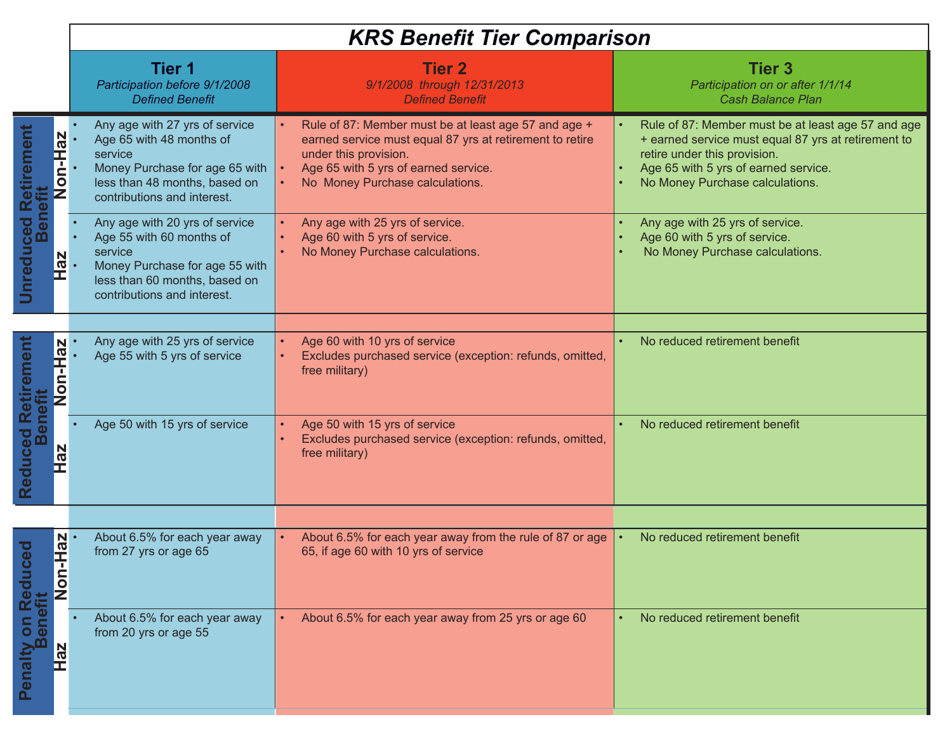|                                                                                     | <b>KRS Benefit Tier Comparison</b>                                                                                                                                      |                                                                                                                                                                                                                      |                                                                                                                                                                                                                      |
|-------------------------------------------------------------------------------------|-------------------------------------------------------------------------------------------------------------------------------------------------------------------------|----------------------------------------------------------------------------------------------------------------------------------------------------------------------------------------------------------------------|----------------------------------------------------------------------------------------------------------------------------------------------------------------------------------------------------------------------|
|                                                                                     | <b>Tier 1</b><br>Participation before 9/1/2008<br><b>Defined Benefit</b>                                                                                                | <b>Tier 2</b><br>9/1/2008 through 12/31/2013<br><b>Defined Benefit</b>                                                                                                                                               | <b>Tier 3</b><br>Participation on or after 1/1/14<br><b>Cash Balance Plan</b>                                                                                                                                        |
| Retirement<br>Non-Haz<br><b>Benet</b><br>Unreduced<br>Haz                           | Any age with 27 yrs of service<br>Age 65 with 48 months of<br>service<br>Money Purchase for age 65 with<br>less than 48 months, based on<br>contributions and interest. | Rule of 87: Member must be at least age 57 and age +<br>earned service must equal 87 yrs at retirement to retire<br>under this provision.<br>Age 65 with 5 yrs of earned service.<br>No Money Purchase calculations. | Rule of 87: Member must be at least age 57 and age<br>+ earned service must equal 87 yrs at retirement to<br>retire under this provision.<br>Age 65 with 5 yrs of earned service.<br>No Money Purchase calculations. |
|                                                                                     | Any age with 20 yrs of service<br>Age 55 with 60 months of<br>service<br>Money Purchase for age 55 with<br>less than 60 months, based on<br>contributions and interest. | Any age with 25 yrs of service.<br>Age 60 with 5 yrs of service.<br>No Money Purchase calculations.                                                                                                                  | Any age with 25 yrs of service.<br>Age 60 with 5 yrs of service.<br>No Money Purchase calculations.                                                                                                                  |
| Retirement<br><b>ZPH-1</b><br><b>Non</b><br>net<br>Reduced<br>Ber<br><b>Haz</b>     | Any age with 25 yrs of service<br>Age 55 with 5 yrs of service                                                                                                          | Age 60 with 10 yrs of service<br>Excludes purchased service (exception: refunds, omitted,<br>free military)                                                                                                          | No reduced retirement benefit                                                                                                                                                                                        |
|                                                                                     | Age 50 with 15 yrs of service                                                                                                                                           | Age 50 with 15 yrs of service<br>Excludes purchased service (exception: refunds, omitted,<br>free military)                                                                                                          | No reduced retirement benefit                                                                                                                                                                                        |
|                                                                                     |                                                                                                                                                                         |                                                                                                                                                                                                                      |                                                                                                                                                                                                                      |
| <u>Haz</u><br>$\overline{\mathbf{e}}$<br>Hon-<br>Penalty on Reduc<br>Benefit<br>Haz | About 6.5% for each year away<br>from 27 yrs or age 65                                                                                                                  | About 6.5% for each year away from the rule of 87 or age<br>65, if age 60 with 10 yrs of service                                                                                                                     | No reduced retirement benefit                                                                                                                                                                                        |
|                                                                                     | About 6.5% for each year away<br>from 20 yrs or age 55                                                                                                                  | About 6.5% for each year away from 25 yrs or age 60                                                                                                                                                                  | No reduced retirement benefit                                                                                                                                                                                        |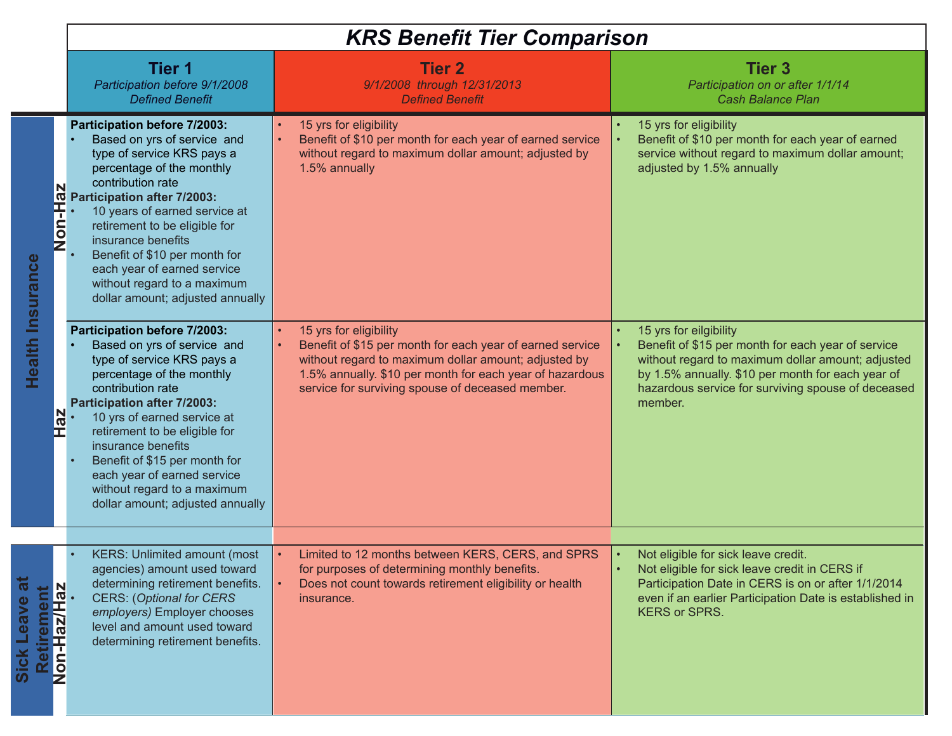| <b>KRS Benefit Tier Comparison</b> |  |  |  |
|------------------------------------|--|--|--|
|------------------------------------|--|--|--|

|                                                          | Tier 1<br>Participation before 9/1/2008<br><b>Defined Benefit</b>                                                                                                                                                                                                                                                                                                                                                                                                                          | <b>Tier 2</b><br>9/1/2008 through 12/31/2013<br><b>Defined Benefit</b>                                                                                                                                                                                      | <b>Tier 3</b><br>Participation on or after 1/1/14<br><b>Cash Balance Plan</b>                                                                                                                                                                           |
|----------------------------------------------------------|--------------------------------------------------------------------------------------------------------------------------------------------------------------------------------------------------------------------------------------------------------------------------------------------------------------------------------------------------------------------------------------------------------------------------------------------------------------------------------------------|-------------------------------------------------------------------------------------------------------------------------------------------------------------------------------------------------------------------------------------------------------------|---------------------------------------------------------------------------------------------------------------------------------------------------------------------------------------------------------------------------------------------------------|
| N<br><b>Insurance</b>                                    | Participation before 7/2003:<br>Based on yrs of service and<br>type of service KRS pays a<br>percentage of the monthly<br>contribution rate<br><b>Reparticipation after 7/2003:</b><br>$\frac{1}{\sqrt{2}}$ . 10 years of earned service retirement to be eligible insurance benefits<br>10 years of earned service at<br>retirement to be eligible for<br>Benefit of \$10 per month for<br>each year of earned service<br>without regard to a maximum<br>dollar amount; adjusted annually | 15 yrs for eligibility<br>Benefit of \$10 per month for each year of earned service<br>without regard to maximum dollar amount; adjusted by<br>1.5% annually                                                                                                | 15 yrs for eligibility<br>Benefit of \$10 per month for each year of earned<br>service without regard to maximum dollar amount;<br>adjusted by 1.5% annually                                                                                            |
| Health<br>Haz                                            | Participation before 7/2003:<br>Based on yrs of service and<br>type of service KRS pays a<br>percentage of the monthly<br>contribution rate<br>Participation after 7/2003:<br>10 yrs of earned service at<br>retirement to be eligible for<br>insurance benefits<br>Benefit of \$15 per month for<br>each year of earned service<br>without regard to a maximum<br>dollar amount; adjusted annually                                                                                        | 15 yrs for eligibility<br>Benefit of \$15 per month for each year of earned service<br>without regard to maximum dollar amount; adjusted by<br>1.5% annually. \$10 per month for each year of hazardous<br>service for surviving spouse of deceased member. | 15 yrs for eilgibility<br>Benefit of \$15 per month for each year of service<br>without regard to maximum dollar amount; adjusted<br>by 1.5% annually. \$10 per month for each year of<br>hazardous service for surviving spouse of deceased<br>member. |
|                                                          |                                                                                                                                                                                                                                                                                                                                                                                                                                                                                            |                                                                                                                                                                                                                                                             |                                                                                                                                                                                                                                                         |
| ಹ<br>N<br>Retirement<br>Non-Haz/Haz<br><b>Sick Leave</b> | <b>KERS: Unlimited amount (most</b><br>agencies) amount used toward<br>determining retirement benefits.<br><b>CERS: (Optional for CERS</b><br>employers) Employer chooses<br>level and amount used toward<br>determining retirement benefits.                                                                                                                                                                                                                                              | Limited to 12 months between KERS, CERS, and SPRS<br>for purposes of determining monthly benefits.<br>Does not count towards retirement eligibility or health<br>insurance.                                                                                 | Not eligible for sick leave credit.<br>Not eligible for sick leave credit in CERS if<br>Participation Date in CERS is on or after 1/1/2014<br>even if an earlier Participation Date is established in<br><b>KERS or SPRS.</b>                           |